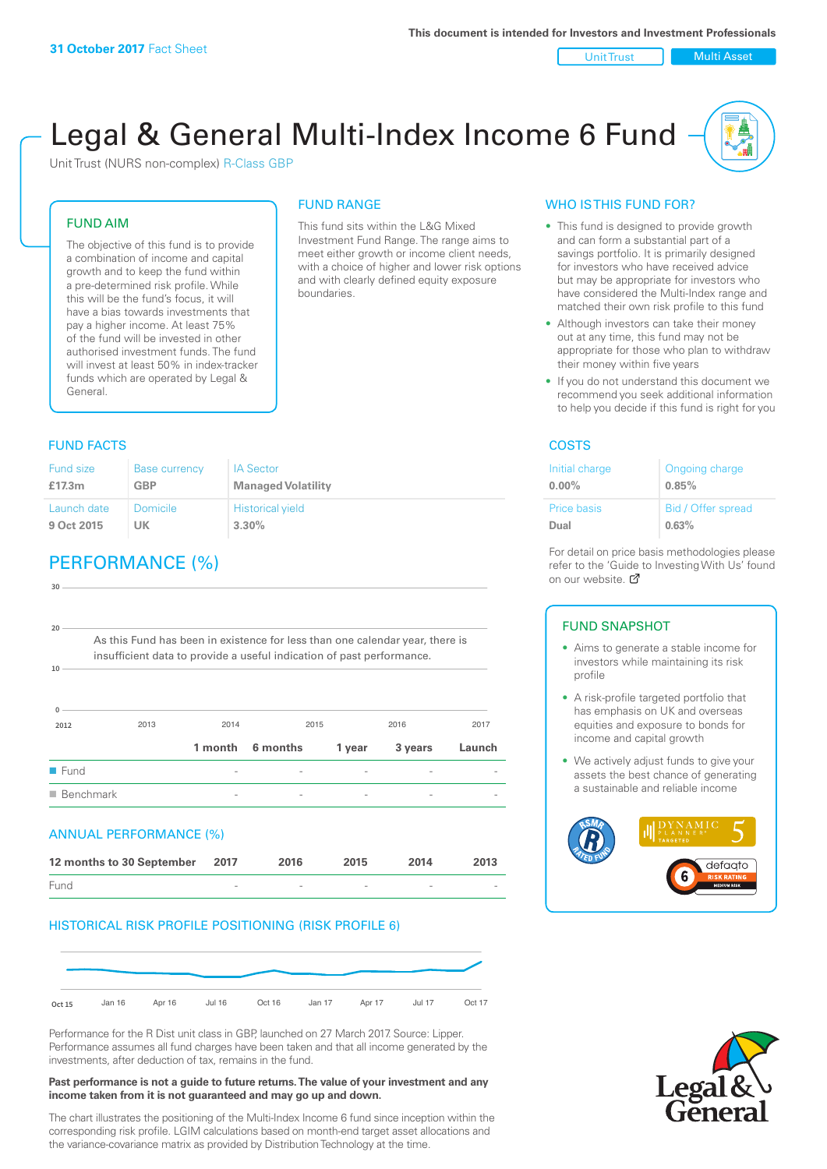Unit Trust | Multi Asset

# Legal & General Multi-Index Income 6 Fund

This fund sits within the L&G Mixed Investment Fund Range. The range aims to meet either growth or income client needs, with a choice of higher and lower risk options and with clearly defined equity exposure

FUND RANGE

boundaries.

Unit Trust (NURS non-complex) R-Class GBP

### FUND AIM

The objective of this fund is to provide a combination of income and capital growth and to keep the fund within a pre-determined risk profile. While this will be the fund's focus, it will have a bias towards investments that pay a higher income. At least 75% of the fund will be invested in other authorised investment funds. The fund will invest at least 50% in index-tracker funds which are operated by Legal & General.

### **FUND FACTS** COSTS

| Fund size   | <b>Base currency</b> | <b>IA Sector</b>          |
|-------------|----------------------|---------------------------|
| £17.3m      | <b>GBP</b>           | <b>Managed Volatility</b> |
| Launch date | Domicile             | <b>Historical yield</b>   |
| 9 Oct 2015  | UK.                  | $3.30\%$                  |

### PERFORMANCE (%)

| 30 <sub>1</sub>     |                                                                              |         |          |        |         |        |
|---------------------|------------------------------------------------------------------------------|---------|----------|--------|---------|--------|
| 20                  | As this Fund has been in existence for less than one calendar year, there is |         |          |        |         |        |
|                     | insufficient data to provide a useful indication of past performance.        |         |          |        |         |        |
| $10 -$              |                                                                              |         |          |        |         |        |
| $\mathbf{0}$        |                                                                              |         |          |        |         |        |
| 2012                | 2013                                                                         | 2014    | 2015     |        | 2016    | 2017   |
|                     |                                                                              | 1 month | 6 months | 1 year | 3 years | Launch |
| $\blacksquare$ Fund |                                                                              |         |          |        |         |        |
|                     | $\blacksquare$ Benchmark                                                     |         |          |        |         |        |
|                     | <b>ANNUAL PERFORMANCE (%)</b>                                                |         |          |        |         |        |
|                     | 12 months to 30 September                                                    | 2017    | 2016     | 2015   | 2014    | 2013   |
| Fund                |                                                                              |         |          |        |         |        |

### HISTORICAL RISK PROFILE POSITIONING (RISK PROFILE 6)



Performance for the R Dist unit class in GBP, launched on 27 March 2017. Source: Lipper. Performance assumes all fund charges have been taken and that all income generated by the investments, after deduction of tax, remains in the fund.

#### **Past performance is not a guide to future returns. The value of your investment and any income taken from it is not guaranteed and may go up and down.**

The chart illustrates the positioning of the Multi-Index Income 6 fund since inception within the corresponding risk profile. LGIM calculations based on month-end target asset allocations and the variance-covariance matrix as provided by Distribution Technology at the time.

### WHO IS THIS FUND FOR?

- This fund is designed to provide growth and can form a substantial part of a savings portfolio. It is primarily designed for investors who have received advice but may be appropriate for investors who have considered the Multi-Index range and matched their own risk profile to this fund
- Although investors can take their money out at any time, this fund may not be appropriate for those who plan to withdraw their money within five years
- If you do not understand this document we recommend you seek additional information to help you decide if this fund is right for you

| Initial charge     | Ongoing charge     |
|--------------------|--------------------|
| $0.00\%$           | 0.85%              |
| <b>Price basis</b> | Bid / Offer spread |
| Dual               | 0.63%              |

For detail on price basis methodologies please refer to the 'Gu[ide t](http://www.legalandgeneral.com/guide)o Investing With Us' found on our website. Ø

### FUND SNAPSHOT

- Aims to generate a stable income for investors while maintaining its risk profile
- A risk-profile targeted portfolio that has emphasis on UK and overseas equities and exposure to bonds for income and capital growth
- We actively adjust funds to give your assets the best chance of generating a sustainable and reliable income



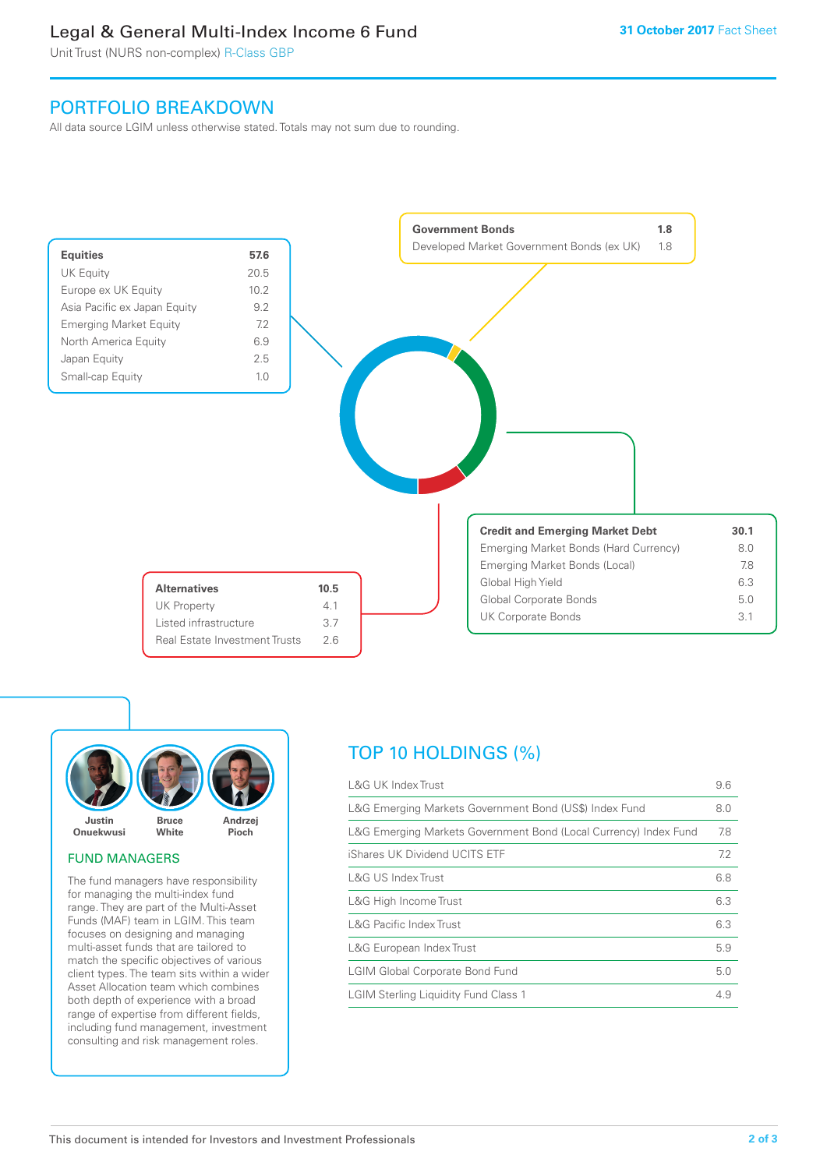### Legal & General Multi-Index Income 6 Fund

Unit Trust (NURS non-complex) R-Class GBP

### PORTFOLIO BREAKDOWN

All data source LGIM unless otherwise stated. Totals may not sum due to rounding.





### FUND MANAGERS

The fund managers have responsibility for managing the multi-index fund range. They are part of the Multi-Asset Funds (MAF) team in LGIM. This team focuses on designing and managing multi-asset funds that are tailored to match the specific objectives of various client types. The team sits within a wider Asset Allocation team which combines both depth of experience with a broad range of expertise from different fields, including fund management, investment consulting and risk management roles.

## TOP 10 HOLDINGS (%)

| <b>L&amp;G UK Index Trust</b>                                    | 9.6 |
|------------------------------------------------------------------|-----|
| L&G Emerging Markets Government Bond (US\$) Index Fund           | 8.0 |
| L&G Emerging Markets Government Bond (Local Currency) Index Fund | 7.8 |
| iShares UK Dividend UCITS ETF                                    | 7.2 |
| L&G US Index Trust                                               | 6.8 |
| L&G High Income Trust                                            | 6.3 |
| <b>L&amp;G Pacific Index Trust</b>                               | 6.3 |
| L&G European Index Trust                                         | 5.9 |
| <b>LGIM Global Corporate Bond Fund</b>                           | 5.0 |
| <b>LGIM Sterling Liquidity Fund Class 1</b>                      | 4.9 |